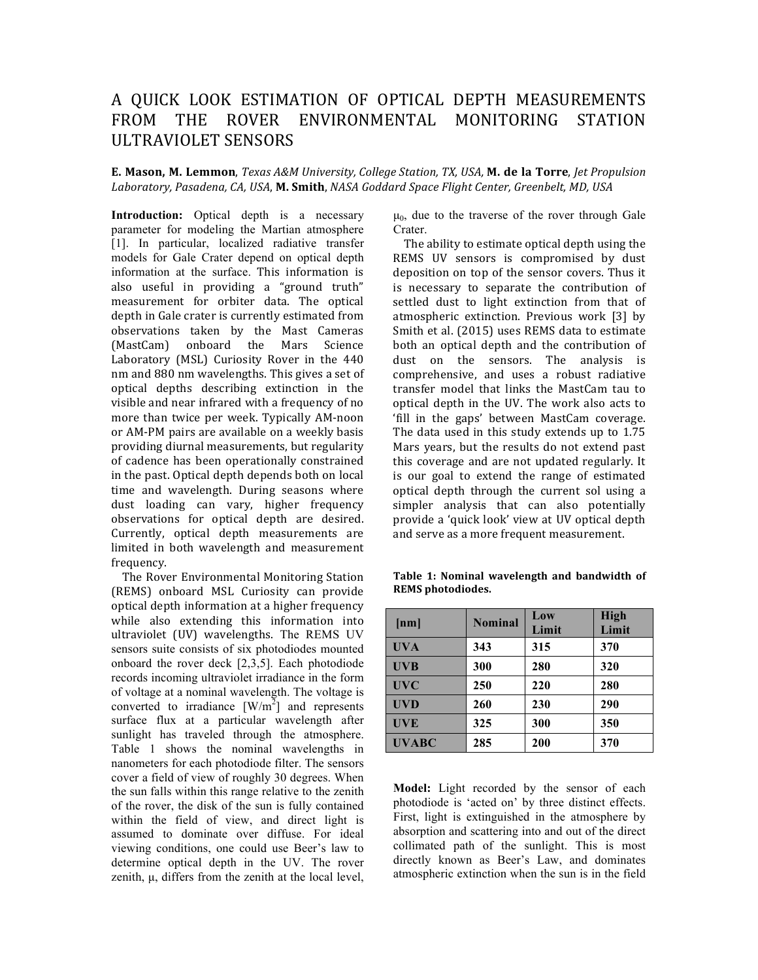## A QUICK LOOK ESTIMATION OF OPTICAL DEPTH MEASUREMENTS FROM THE ROVER ENVIRONMENTAL MONITORING STATION ULTRAVIOLET SENSORS

**E. Mason, M. Lemmon**, *Texas A&M University, College Station, TX, USA,* **M. de la Torre**, *Jet Propulsion Laboratory, Pasadena, CA, USA*, **M. Smith**, *NASA Goddard Space Flight Center, Greenbelt, MD, USA*

**Introduction:** Optical depth is a necessary parameter for modeling the Martian atmosphere [1]. In particular, localized radiative transfer models for Gale Crater depend on optical depth information at the surface. This information is also useful in providing a "ground truth" measurement for orbiter data. The optical depth in Gale crater is currently estimated from observations taken by the Mast Cameras (MastCam) onboard the Mars Science Laboratory (MSL) Curiosity Rover in the 440 nm and 880 nm wavelengths. This gives a set of optical depths describing extinction in the visible and near infrared with a frequency of no more than twice per week. Typically AM-noon or AM-PM pairs are available on a weekly basis providing diurnal measurements, but regularity of cadence has been operationally constrained in the past. Optical depth depends both on local time and wavelength. During seasons where dust loading can vary, higher frequency observations for optical depth are desired. Currently, optical depth measurements are limited in both wavelength and measurement frequency.

The Rover Environmental Monitoring Station (REMS) onboard MSL Curiosity can provide optical depth information at a higher frequency while also extending this information into ultraviolet (UV) wavelengths. The REMS UV sensors suite consists of six photodiodes mounted onboard the rover deck [2,3,5]. Each photodiode records incoming ultraviolet irradiance in the form of voltage at a nominal wavelength. The voltage is converted to irradiance  $\left[W/m^2\right]$  and represents surface flux at a particular wavelength after sunlight has traveled through the atmosphere. Table 1 shows the nominal wavelengths in nanometers for each photodiode filter. The sensors cover a field of view of roughly 30 degrees. When the sun falls within this range relative to the zenith of the rover, the disk of the sun is fully contained within the field of view, and direct light is assumed to dominate over diffuse. For ideal viewing conditions, one could use Beer's law to determine optical depth in the UV. The rover zenith, µ, differs from the zenith at the local level,  $\mu_0$ , due to the traverse of the rover through Gale Crater.

The ability to estimate optical depth using the REMS UV sensors is compromised by dust deposition on top of the sensor covers. Thus it is necessary to separate the contribution of settled dust to light extinction from that of atmospheric extinction. Previous work [3] by Smith et al. (2015) uses REMS data to estimate both an optical depth and the contribution of dust on the sensors. The analysis is comprehensive, and uses a robust radiative transfer model that links the MastCam tau to optical depth in the UV. The work also acts to 'fill in the gaps' between MastCam coverage. The data used in this study extends up to 1.75 Mars years, but the results do not extend past this coverage and are not updated regularly. It is our goal to extend the range of estimated optical depth through the current sol using a simpler analysis that can also potentially provide a 'quick look' view at UV optical depth and serve as a more frequent measurement.

Table 1: Nominal wavelength and bandwidth of **REMS photodiodes.**

| [nm]         | <b>Nominal</b> | Low<br>Limit | <b>High</b><br>Limit |
|--------------|----------------|--------------|----------------------|
| <b>UVA</b>   | 343            | 315          | 370                  |
| <b>UVB</b>   | 300            | 280          | 320                  |
| <b>UVC</b>   | 250            | 220          | 280                  |
| <b>UVD</b>   | 260            | 230          | 290                  |
| <b>UVE</b>   | 325            | 300          | 350                  |
| <b>UVABC</b> | 285            | 200          | 370                  |

**Model:** Light recorded by the sensor of each photodiode is 'acted on' by three distinct effects. First, light is extinguished in the atmosphere by absorption and scattering into and out of the direct collimated path of the sunlight. This is most directly known as Beer's Law, and dominates atmospheric extinction when the sun is in the field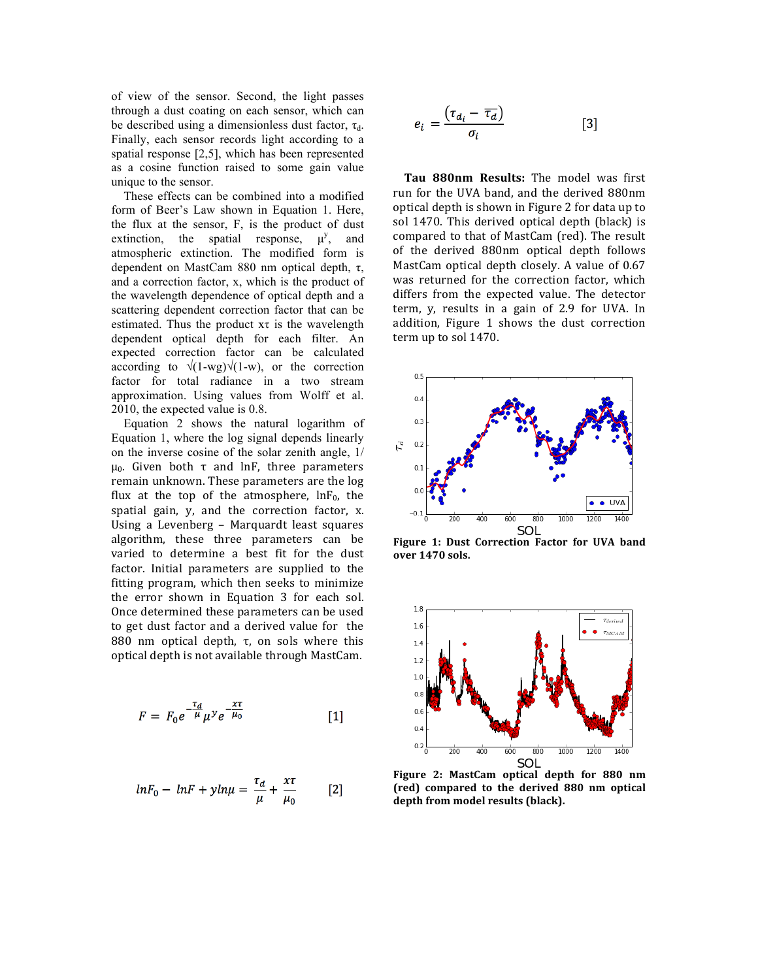of view of the sensor. Second, the light passes through a dust coating on each sensor, which can be described using a dimensionless dust factor,  $\tau_{d}$ . Finally, each sensor records light according to a spatial response [2,5], which has been represented as a cosine function raised to some gain value unique to the sensor.

 These effects can be combined into a modified form of Beer's Law shown in Equation 1. Here, the flux at the sensor, F, is the product of dust extinction, the spatial response,  $\mu^{y}$ , , and atmospheric extinction. The modified form is dependent on MastCam 880 nm optical depth, τ, and a correction factor, x, which is the product of the wavelength dependence of optical depth and a scattering dependent correction factor that can be estimated. Thus the product  $x\tau$  is the wavelength dependent optical depth for each filter. An expected correction factor can be calculated according to  $\sqrt{(1-wg)}\sqrt{(1-w)}$ , or the correction factor for total radiance in a two stream approximation. Using values from Wolff et al. 2010, the expected value is 0.8.

 Equation 2 shows the natural logarithm of Equation 1, where the log signal depends linearly on the inverse cosine of the solar zenith angle, 1/ μ<sub>0</sub>. Given both  $τ$  and lnF, three parameters remain unknown. These parameters are the log flux at the top of the atmosphere,  $lnF_0$ , the spatial gain, y, and the correction factor, x. Using a Levenberg - Marquardt least squares algorithm, these three parameters can be varied to determine a best fit for the dust factor. Initial parameters are supplied to the fitting program, which then seeks to minimize the error shown in Equation 3 for each sol. Once determined these parameters can be used to get dust factor and a derived value for the 880 nm optical depth, τ, on sols where this optical depth is not available through MastCam.

$$
F = F_0 e^{-\frac{\tau_d}{\mu}} \mu^y e^{-\frac{x\tau}{\mu_0}}
$$
 [1]

$$
lnF_0 - lnF + yln\mu = \frac{\tau_d}{\mu} + \frac{\chi\tau}{\mu_0}
$$
 [2]

$$
e_i = \frac{(\tau_{d_i} - \overline{\tau_d})}{\sigma_i} \tag{3}
$$

Tau 880nm Results: The model was first run for the UVA band, and the derived 880nm optical depth is shown in Figure 2 for data up to sol 1470. This derived optical depth (black) is compared to that of MastCam (red). The result of the derived 880nm optical depth follows MastCam optical depth closely. A value of 0.67 was returned for the correction factor, which differs from the expected value. The detector term,  $y$ , results in a gain of 2.9 for UVA. In addition, Figure 1 shows the dust correction term up to sol 1470.



**Figure 1: Dust Correction Factor for UVA band over 1470 sols.**



**Figure 2: MastCam optical depth for 880 nm (red) compared to the derived 880 nm optical**  depth from model results (black).